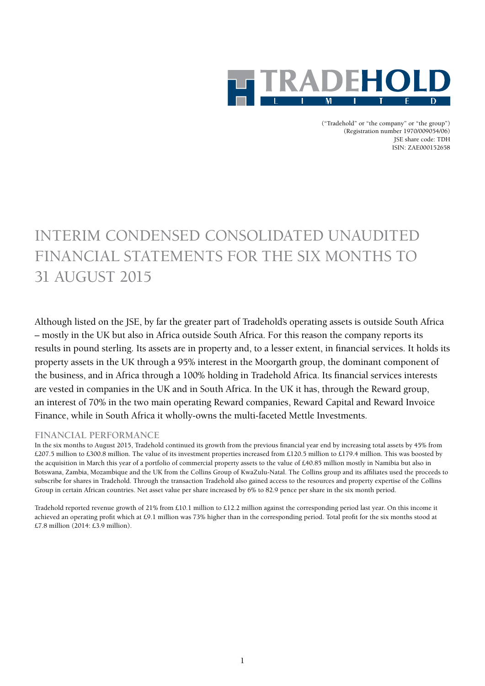

("Tradehold" or "the company" or "the group") (Registration number 1970/009054/06) JSE share code: TDH ISIN: ZAE000152658

# INTERIM CONDENSED CONSOLIDATED UNAUDITED FINANCIAL STATEMENTS FOR THE SIX MONTHS TO 31 AUGUST 2015

Although listed on the JSE, by far the greater part of Tradehold's operating assets is outside South Africa – mostly in the UK but also in Africa outside South Africa. For this reason the company reports its results in pound sterling. Its assets are in property and, to a lesser extent, in financial services. It holds its property assets in the UK through a 95% interest in the Moorgarth group, the dominant component of the business, and in Africa through a 100% holding in Tradehold Africa. Its financial services interests are vested in companies in the UK and in South Africa. In the UK it has, through the Reward group, an interest of 70% in the two main operating Reward companies, Reward Capital and Reward Invoice Finance, while in South Africa it wholly-owns the multi-faceted Mettle Investments.

### **FINANCIAL PERFORMANCE**

In the six months to August 2015, Tradehold continued its growth from the previous financial year end by increasing total assets by 45% from £207.5 million to £300.8 million. The value of its investment properties increased from £120.5 million to £179.4 million. This was boosted by the acquisition in March this year of a portfolio of commercial property assets to the value of £40.85 million mostly in Namibia but also in Botswana, Zambia, Mozambique and the UK from the Collins Group of KwaZulu-Natal. The Collins group and its affiliates used the proceeds to subscribe for shares in Tradehold. Through the transaction Tradehold also gained access to the resources and property expertise of the Collins Group in certain African countries. Net asset value per share increased by 6% to 82.9 pence per share in the six month period.

Tradehold reported revenue growth of 21% from £10.1 million to £12.2 million against the corresponding period last year. On this income it achieved an operating profit which at £9.1 million was 73% higher than in the corresponding period. Total profit for the six months stood at £7.8 million (2014: £3.9 million).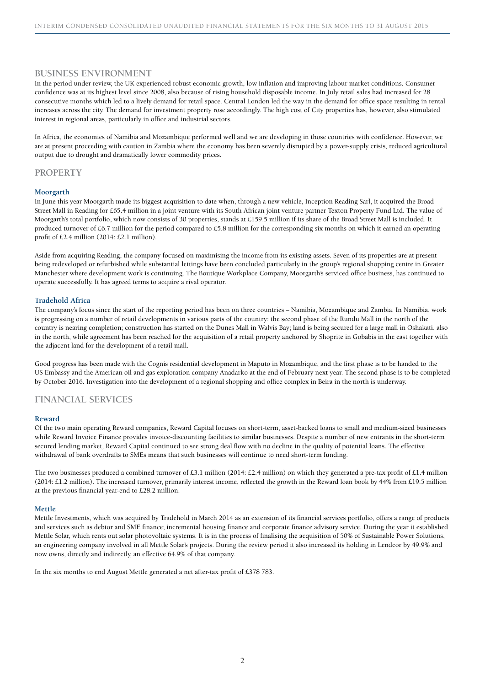### **BUSINESS ENVIRONMENT**

In the period under review, the UK experienced robust economic growth, low inflation and improving labour market conditions. Consumer confidence was at its highest level since 2008, also because of rising household disposable income. In July retail sales had increased for 28 consecutive months which led to a lively demand for retail space. Central London led the way in the demand for office space resulting in rental increases across the city. The demand for investment property rose accordingly. The high cost of City properties has, however, also stimulated interest in regional areas, particularly in office and industrial sectors.

In Africa, the economies of Namibia and Mozambique performed well and we are developing in those countries with confidence. However, we are at present proceeding with caution in Zambia where the economy has been severely disrupted by a power-supply crisis, reduced agricultural output due to drought and dramatically lower commodity prices.

### **PROPERTY**

#### **Moorgarth**

In June this year Moorgarth made its biggest acquisition to date when, through a new vehicle, Inception Reading Sarl, it acquired the Broad Street Mall in Reading for £65.4 million in a joint venture with its South African joint venture partner Texton Property Fund Ltd. The value of Moorgarth's total portfolio, which now consists of 30 properties, stands at £159.5 million if its share of the Broad Street Mall is included. It produced turnover of £6.7 million for the period compared to £5.8 million for the corresponding six months on which it earned an operating profit of £2.4 million (2014: £2.1 million).

Aside from acquiring Reading, the company focused on maximising the income from its existing assets. Seven of its properties are at present being redeveloped or refurbished while substantial lettings have been concluded particularly in the group's regional shopping centre in Greater Manchester where development work is continuing. The Boutique Workplace Company, Moorgarth's serviced office business, has continued to operate successfully. It has agreed terms to acquire a rival operator.

### **Tradehold Africa**

The company's focus since the start of the reporting period has been on three countries – Namibia, Mozambique and Zambia. In Namibia, work is progressing on a number of retail developments in various parts of the country: the second phase of the Rundu Mall in the north of the country is nearing completion; construction has started on the Dunes Mall in Walvis Bay; land is being secured for a large mall in Oshakati, also in the north, while agreement has been reached for the acquisition of a retail property anchored by Shoprite in Gobabis in the east together with the adjacent land for the development of a retail mall.

Good progress has been made with the Cognis residential development in Maputo in Mozambique, and the first phase is to be handed to the US Embassy and the American oil and gas exploration company Anadarko at the end of February next year. The second phase is to be completed by October 2016. Investigation into the development of a regional shopping and office complex in Beira in the north is underway.

### **FINANCIAL SERVICES**

#### **Reward**

Of the two main operating Reward companies, Reward Capital focuses on short-term, asset-backed loans to small and medium-sized businesses while Reward Invoice Finance provides invoice-discounting facilities to similar businesses. Despite a number of new entrants in the short-term secured lending market, Reward Capital continued to see strong deal flow with no decline in the quality of potential loans. The effective withdrawal of bank overdrafts to SMEs means that such businesses will continue to need short-term funding.

The two businesses produced a combined turnover of £3.1 million (2014: £2.4 million) on which they generated a pre-tax profit of £1.4 million (2014: £1.2 million). The increased turnover, primarily interest income, reflected the growth in the Reward loan book by 44% from £19.5 million at the previous financial year-end to £28.2 million.

#### **Mettle**

Mettle Investments, which was acquired by Tradehold in March 2014 as an extension of its financial services portfolio, offers a range of products and services such as debtor and SME finance; incremental housing finance and corporate finance advisory service. During the year it established Mettle Solar, which rents out solar photovoltaic systems. It is in the process of finalising the acquisition of 50% of Sustainable Power Solutions, an engineering company involved in all Mettle Solar's projects. During the review period it also increased its holding in Lendcor by 49.9% and now owns, directly and indirectly, an effective 64.9% of that company.

In the six months to end August Mettle generated a net after-tax profit of £378 783.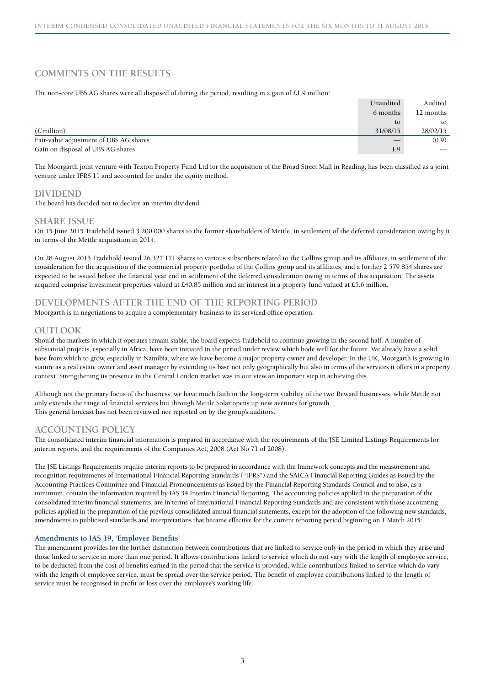## **COMMENTS ON THE RESULTS**

The non-core UBS AG shares were all disposed of during the period, resulting in a gain of £1.9 million:

|                                        | Unaudited | Audited   |
|----------------------------------------|-----------|-----------|
|                                        | 6 months  | 12 months |
|                                        | to        | to        |
| $(E'$ million)                         | 31/08/15  | 28/02/15  |
| Fair-value adjustment of UBS AG shares |           | (0.9)     |
| Gain on disposal of UBS AG shares      | 1.9       |           |

The Moorgarth joint venture with Texton Property Fund Ltd for the acquisition of the Broad Street Mall in Reading, has been classified as a joint venture under IFRS 11 and accounted for under the equity method.

### **DIVIDEND**

The board has decided not to declare an interim dividend.

### **SHARE ISSUE**

On 15 June 2015 Tradehold issued 3 200 000 shares to the former shareholders of Mettle, in settlement of the deferred consideration owing by it in terms of the Mettle acquisition in 2014.

On 28 August 2015 Tradehold issued 26 327 171 shares to various subscribers related to the Collins group and its affiliates, in settlement of the consideration for the acquisition of the commercial property portfolio of the Collins group and its affiliates, and a further 2 579 854 shares are expected to be issued before the financial year end in settlement of the deferred consideration owing in terms of this acquisition. The assets acquired comprise investment properties valued at £40,85 million and an interest in a property fund valued at £5.6 million.

### **DEVELOPMENTS AFTER THE END OF THE REPORTING PERIOD**

Moorgarth is in negotiations to acquire a complementary business to its serviced office operation.

### **OUTLOOK**

Should the markets in which it operates remain stable, the board expects Tradehold to continue growing in the second half. A number of substantial projects, especially in Africa, have been initiated in the period under review which bode well for the future. We already have a solid base from which to grow, especially in Namibia, where we have become a major property owner and developer. In the UK, Moorgarth is growing in stature as a real estate owner and asset manager by extending its base not only geographically but also in terms of the services it offers in a property context. Strengthening its presence in the Central London market was in our view an important step in achieving this.

Although not the primary focus of the business, we have much faith in the long-term viability of the two Reward businesses, while Mettle not only extends the range of financial services but through Mettle Solar opens up new avenues for growth. This general forecast has not been reviewed nor reported on by the group's auditors.

### **ACCOUNTING POLICY**

The consolidated interim financial information is prepared in accordance with the requirements of the JSE Limited Listings Requirements for interim reports, and the requirements of the Companies Act, 2008 (Act No 71 of 2008).

The JSE Listings Requirements require interim reports to be prepared in accordance with the framework concepts and the measurement and recognition requirements of International Financial Reporting Standards ("IFRS") and the SAICA Financial Reporting Guides as issued by the Accounting Practices Committee and Financial Pronouncements as issued by the Financial Reporting Standards Council and to also, as a minimum, contain the information required by IAS 34 Interim Financial Reporting. The accounting policies applied in the preparation of the consolidated interim financial statements, are in terms of International Financial Reporting Standards and are consistent with those accounting policies applied in the preparation of the previous consolidated annual financial statements, except for the adoption of the following new standards, amendments to publicised standards and interpretations that became effective for the current reporting period beginning on 1 March 2015:

#### **Amendments to IAS 19, 'Employee Benefits'**

The amendment provides for the further distinction between contributions that are linked to service only in the period in which they arise and those linked to service in more than one period. It allows contributions linked to service which do not vary with the length of employee service, to be deducted from the cost of benefits earned in the period that the service is provided, while contributions linked to service which do vary with the length of employee service, must be spread over the service period. The benefit of employee contributions linked to the length of service must be recognised in profit or loss over the employee's working life.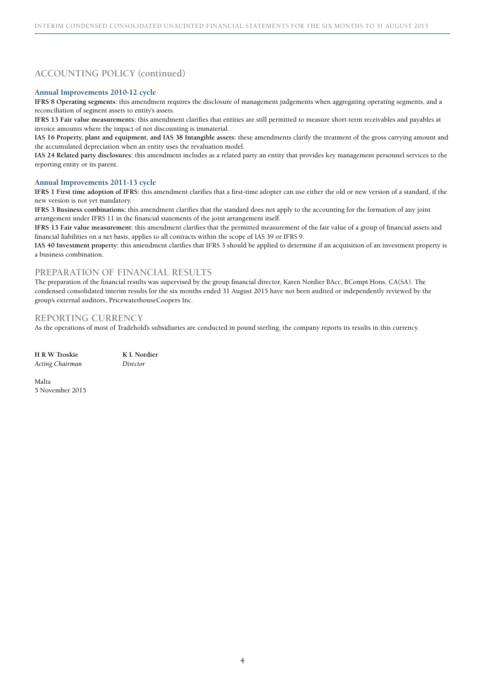# **ACCOUNTING POLICY (continued)**

#### **Annual Improvements 2010-12 cycle**

**IFRS 8 Operating segments**: this amendment requires the disclosure of management judgements when aggregating operating segments, and a reconciliation of segment assets to entity's assets.

**IFRS 13 Fair value measurements:** this amendment clarifies that entities are still permitted to measure short-term receivables and payables at invoice amounts where the impact of not discounting is immaterial.

**IAS 16 Property, plant and equipment, and IAS 38 Intangible assets:** these amendments clarify the treatment of the gross carrying amount and the accumulated depreciation when an entity uses the revaluation model.

**IAS 24 Related party disclosures:** this amendment includes as a related party an entity that provides key management personnel services to the reporting entity or its parent.

#### **Annual Improvements 2011-13 cycle**

**IFRS 1 First time adoption of IFRS:** this amendment clarifies that a first-time adopter can use either the old or new version of a standard, if the new version is not yet mandatory.

**IFRS 3 Business combinations:** this amendment clarifies that the standard does not apply to the accounting for the formation of any joint arrangement under IFRS 11 in the financial statements of the joint arrangement itself.

**IFRS 13 Fair value measurement:** this amendment clarifies that the permitted measurement of the fair value of a group of financial assets and financial liabilities on a net basis, applies to all contracts within the scope of IAS 39 or IFRS 9.

**IAS 40 Investment property:** this amendment clarifies that IFRS 3 should be applied to determine if an acquisition of an investment property is a business combination.

### **PREPARATION OF FINANCIAL RESULTS**

The preparation of the financial results was supervised by the group financial director, Karen Nordier BAcc, BCompt Hons, CA(SA). The condensed consolidated interim results for the six months ended 31 August 2015 have not been audited or independently reviewed by the group's external auditors, PricewaterhouseCoopers Inc.

### **REPORTING CURRENCY**

As the operations of most of Tradehold's subsidiaries are conducted in pound sterling, the company reports its results in this currency.

| H R W Troskie          | K L Nordier |
|------------------------|-------------|
| <b>Acting Chairman</b> | Director    |

Malta 5 November 2015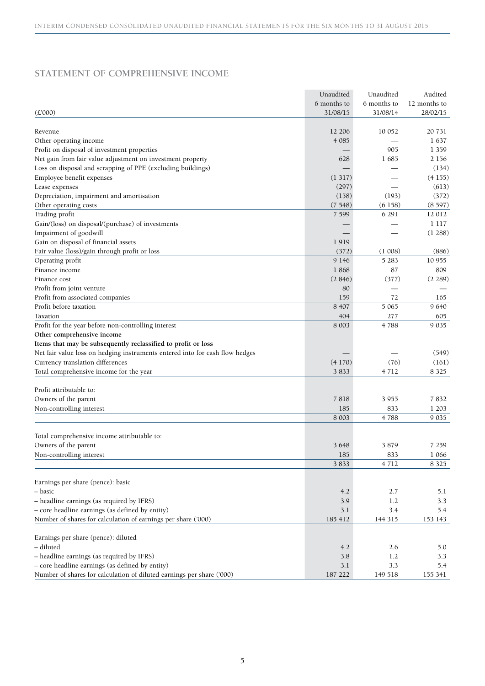# **STATEMENT OF COMPREHENSIVE INCOME**

|                                                                              | Unaudited   | Unaudited   | Audited      |
|------------------------------------------------------------------------------|-------------|-------------|--------------|
|                                                                              | 6 months to | 6 months to | 12 months to |
| (E'000)                                                                      | 31/08/15    | 31/08/14    | 28/02/15     |
|                                                                              |             |             |              |
| Revenue                                                                      | 12 20 6     | 10 052      | 20 731       |
| Other operating income                                                       | 4 0 8 5     |             | 1637         |
| Profit on disposal of investment properties                                  |             | 905         | 1 3 5 9      |
| Net gain from fair value adjustment on investment property                   | 628         | 1685        | 2 156        |
| Loss on disposal and scrapping of PPE (excluding buildings)                  |             |             | (134)        |
| Employee benefit expenses                                                    | (1317)      |             | (4155)       |
| Lease expenses                                                               | (297)       |             | (613)        |
| Depreciation, impairment and amortisation                                    | (158)       | (193)       | (372)        |
| Other operating costs                                                        | (7548)      | (6158)      | (8597)       |
| Trading profit                                                               | 7 5 9 9     | 6 2 9 1     | 12 012       |
| Gain/(loss) on disposal/(purchase) of investments                            |             |             | 1 1 1 7      |
| Impairment of goodwill                                                       |             |             | (1288)       |
| Gain on disposal of financial assets                                         | 1919        |             |              |
| Fair value (loss)/gain through profit or loss                                | (372)       | (1008)      | (886)        |
| Operating profit                                                             | 9 1 4 6     | 5 2 8 3     | 10 955       |
| Finance income                                                               | 1868        | 87          | 809          |
| Finance cost                                                                 | (2, 846)    | (377)       | (2.289)      |
| Profit from joint venture                                                    | 80          |             |              |
| Profit from associated companies                                             | 159         | 72          | 165          |
| Profit before taxation                                                       | 8 4 0 7     | 5 0 6 5     | 9 6 4 0      |
| Taxation                                                                     | 404         | 277         | 605          |
| Profit for the year before non-controlling interest                          | 8 0 0 3     | 4788        | 9 0 35       |
| Other comprehensive income                                                   |             |             |              |
| Items that may be subsequently reclassified to profit or loss                |             |             |              |
| Net fair value loss on hedging instruments entered into for cash flow hedges |             |             | (549)        |
| Currency translation differences                                             | (4170)      | (76)        | (161)        |
| Total comprehensive income for the year                                      | 3833        | 4712        | 8 3 2 5      |
|                                                                              |             |             |              |
| Profit attributable to:                                                      |             |             |              |
| Owners of the parent                                                         | 7818        | 3955        | 7832         |
| Non-controlling interest                                                     | 185         | 833         | 1 203        |
|                                                                              | 8 0 0 3     | 4788        | 9 0 35       |
|                                                                              |             |             |              |
| Total comprehensive income attributable to:                                  |             |             |              |
| Owners of the parent                                                         | 3648        | 3879        | 7 259        |
| Non-controlling interest                                                     | 185         | 833         | 1 0 6 6      |
|                                                                              | 3833        | 4712        | 8 3 2 5      |
|                                                                              |             |             |              |
| Earnings per share (pence): basic                                            |             |             |              |
| - basic                                                                      | 4.2         | 2.7         | 5.1          |
| - headline earnings (as required by IFRS)                                    | 3.9         | 1.2         | 3.3          |
| - core headline earnings (as defined by entity)                              | $3.1\,$     | 3.4         | 5.4          |
| Number of shares for calculation of earnings per share ('000)                |             |             |              |
|                                                                              | 185 412     | 144 315     | 153 143      |
|                                                                              |             |             |              |
| Earnings per share (pence): diluted<br>- diluted                             |             |             |              |
|                                                                              | 4.2         | 2.6         | 5.0          |
| - headline earnings (as required by IFRS)                                    | 3.8         | 1.2         | 3.3          |
| - core headline earnings (as defined by entity)                              | 3.1         | 3.3         | 5.4          |
| Number of shares for calculation of diluted earnings per share ('000)        | 187 222     | 149 518     | 155 341      |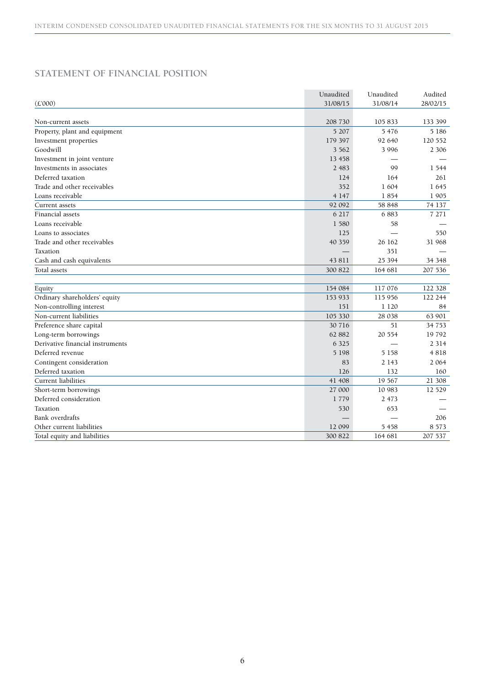# **STATEMENT OF FINANCIAL POSITION**

|                                  | Unaudited | Unaudited | Audited  |
|----------------------------------|-----------|-----------|----------|
| (E'000)                          | 31/08/15  | 31/08/14  | 28/02/15 |
|                                  |           |           |          |
| Non-current assets               | 208 730   | 105 833   | 133 399  |
| Property, plant and equipment    | 5 207     | 5 4 7 6   | 5 18 6   |
| Investment properties            | 179 397   | 92 640    | 120 552  |
| Goodwill                         | 3 5 6 2   | 3 9 9 6   | 2 3 0 6  |
| Investment in joint venture      | 13 458    |           |          |
| Investments in associates        | 2 4 8 3   | 99        | 1 5 4 4  |
| Deferred taxation                | 124       | 164       | 261      |
| Trade and other receivables      | 352       | 1 604     | 1645     |
| Loans receivable                 | 4 1 4 7   | 1854      | 1905     |
| Current assets                   | 92 092    | 58 848    | 74 137   |
| Financial assets                 | 6 217     | 6883      | 7 2 7 1  |
| Loans receivable                 | 1 580     | 58        |          |
| Loans to associates              | 125       |           | 550      |
| Trade and other receivables      | 40 359    | 26 162    | 31 968   |
| Taxation                         |           | 351       |          |
| Cash and cash equivalents        | 43 811    | 25 394    | 34 3 48  |
| Total assets                     | 300 822   | 164 681   | 207 536  |
|                                  |           |           |          |
| Equity                           | 154 084   | 117 076   | 122 328  |
| Ordinary shareholders' equity    | 153 933   | 115 956   | 122 244  |
| Non-controlling interest         | 151       | 1 1 2 0   | 84       |
| Non-current liabilities          | 105 330   | 28 038    | 63 901   |
| Preference share capital         | 30 716    | 51        | 34 753   |
| Long-term borrowings             | 62 882    | 20 554    | 19792    |
| Derivative financial instruments | 6 3 2 5   |           | 2 3 1 4  |
| Deferred revenue                 | 5 1 9 8   | 5 1 5 8   | 4818     |
| Contingent consideration         | 83        | 2 1 4 3   | 2 0 6 4  |
| Deferred taxation                | 126       | 132       | 160      |
| Current liabilities              | 41 408    | 19 567    | 21 308   |
| Short-term borrowings            | 27 000    | 10 983    | 12 5 29  |
| Deferred consideration           | 1779      | 2 4 7 3   |          |
| Taxation                         | 530       | 653       |          |
| Bank overdrafts                  |           |           | 206      |
| Other current liabilities        | 12 099    | 5 4 5 8   | 8 5 7 3  |
| Total equity and liabilities     | 300 822   | 164 681   | 207 537  |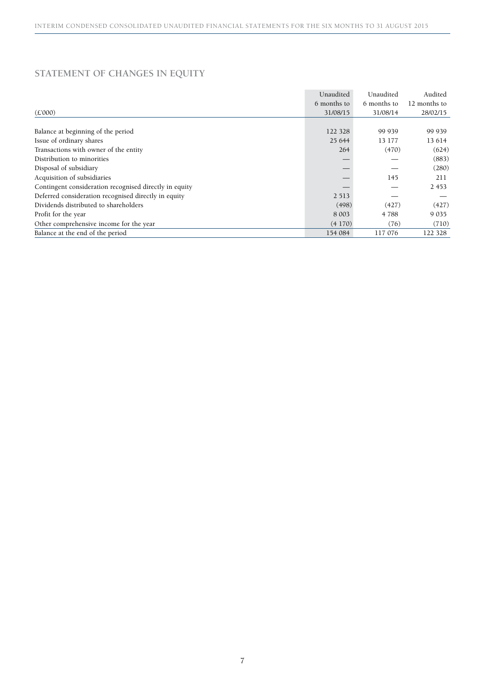# **STATEMENT OF CHANGES IN EQUITY**

|                                                        | Unaudited   | Unaudited   | Audited      |
|--------------------------------------------------------|-------------|-------------|--------------|
|                                                        | 6 months to | 6 months to | 12 months to |
| (E'000)                                                | 31/08/15    | 31/08/14    | 28/02/15     |
|                                                        |             |             |              |
| Balance at beginning of the period                     | 122 328     | 99 939      | 99 939       |
| Issue of ordinary shares                               | 25 644      | 13 177      | 13 614       |
| Transactions with owner of the entity                  | 264         | (470)       | (624)        |
| Distribution to minorities                             |             |             | (883)        |
| Disposal of subsidiary                                 |             |             | (280)        |
| Acquisition of subsidiaries                            |             | 145         | 211          |
| Contingent consideration recognised directly in equity |             |             | 2 4 5 3      |
| Deferred consideration recognised directly in equity   | 2 5 1 3     |             |              |
| Dividends distributed to shareholders                  | (498)       | (427)       | (427)        |
| Profit for the year                                    | 8 0 0 3     | 4 788       | 9 0 35       |
| Other comprehensive income for the year                | (4170)      | (76)        | (710)        |
| Balance at the end of the period                       | 154 084     | 117 076     | 122 328      |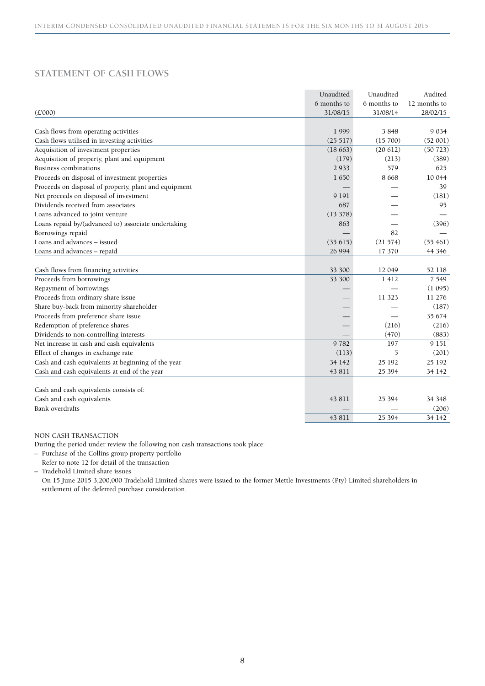# **STATEMENT OF CASH FLOWS**

|                                                       | Unaudited   | Unaudited   | Audited      |
|-------------------------------------------------------|-------------|-------------|--------------|
|                                                       | 6 months to | 6 months to | 12 months to |
| $(\pounds 000)$                                       | 31/08/15    | 31/08/14    | 28/02/15     |
|                                                       |             |             |              |
| Cash flows from operating activities                  | 1999        | 3848        | 9 0 34       |
| Cash flows utilised in investing activities           | (25 517)    | (15700)     | (52001)      |
| Acquisition of investment properties                  | (18663)     | (20612)     | (50723)      |
| Acquisition of property, plant and equipment          | (179)       | (213)       | (389)        |
| Business combinations                                 | 2 9 3 3     | 579         | 625          |
| Proceeds on disposal of investment properties         | 1650        | 8 6 6 8     | 10 044       |
| Proceeds on disposal of property, plant and equipment |             |             | 39           |
| Net proceeds on disposal of investment                | 9 1 9 1     |             | (181)        |
| Dividends received from associates                    | 687         |             | 95           |
| Loans advanced to joint venture                       | (13378)     |             |              |
| Loans repaid by/(advanced to) associate undertaking   | 863         |             | (396)        |
| Borrowings repaid                                     |             | 82          |              |
| Loans and advances - issued                           | (35615)     | (21 574)    | (55461)      |
| Loans and advances - repaid                           | 26 994      | 17 370      | 44 3 46      |
|                                                       |             |             |              |
| Cash flows from financing activities                  | 33 300      | 12 049      | 52 118       |
| Proceeds from borrowings                              | 33 300      | 1 4 1 2     | 7 5 4 9      |
| Repayment of borrowings                               |             |             | (1095)       |
| Proceeds from ordinary share issue                    |             | 11 3 23     | 11 276       |
| Share buy-back from minority shareholder              |             |             | (187)        |
| Proceeds from preference share issue                  |             |             | 35 674       |
| Redemption of preference shares                       |             | (216)       | (216)        |
| Dividends to non-controlling interests                |             | (470)       | (883)        |
| Net increase in cash and cash equivalents             | 9782        | 197         | 9 1 5 1      |
| Effect of changes in exchange rate                    | (113)       | 5           | (201)        |
| Cash and cash equivalents at beginning of the year    | 34 142      | 25 192      | 25 192       |
| Cash and cash equivalents at end of the year          | 43 811      | 25 394      | 34 142       |
|                                                       |             |             |              |
| Cash and cash equivalents consists of:                |             |             |              |
| Cash and cash equivalents                             | 43 811      | 25 3 94     | 34 348       |
| Bank overdrafts                                       |             |             | (206)        |
|                                                       | 43 811      | 25 3 94     | 34 142       |

NON CASH TRANSACTION

During the period under review the following non cash transactions took place:

– Purchase of the Collins group property portfolio

Refer to note 12 for detail of the transaction

– Tradehold Limited share issues

On 15 June 2015 3,200,000 Tradehold Limited shares were issued to the former Mettle Investments (Pty) Limited shareholders in settlement of the deferred purchase consideration.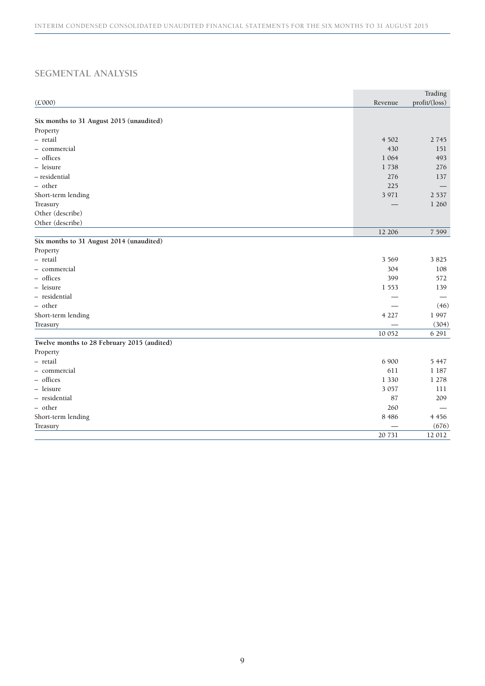# **SEGMENTAL ANALYSIS**

|                                             |         | Trading       |
|---------------------------------------------|---------|---------------|
| (E'000)                                     | Revenue | profit/(loss) |
|                                             |         |               |
| Six months to 31 August 2015 (unaudited)    |         |               |
| Property                                    |         |               |
| - retail                                    | 4 5 0 2 | 2 7 4 5       |
| - commercial                                | 430     | 151           |
| - offices                                   | 1 0 6 4 | 493           |
| - leisure                                   | 1738    | 276           |
| - residential                               | 276     | 137           |
| - other                                     | 225     |               |
| Short-term lending                          | 3 9 7 1 | 2 5 3 7       |
| Treasury                                    |         | 1 260         |
| Other (describe)                            |         |               |
| Other (describe)                            |         |               |
|                                             | 12 20 6 | 7 5 9 9       |
| Six months to 31 August 2014 (unaudited)    |         |               |
| Property                                    |         |               |
| - retail                                    | 3 5 6 9 | 3825          |
| - commercial                                | 304     | 108           |
| - offices                                   | 399     | 572           |
| - leisure                                   | 1 5 5 3 | 139           |
| - residential                               |         |               |
| - other                                     |         | (46)          |
| Short-term lending                          | 4 2 2 7 | 1997          |
| Treasury                                    |         | (304)         |
|                                             | 10 052  | 6 2 9 1       |
| Twelve months to 28 February 2015 (audited) |         |               |
| Property                                    |         |               |
| - retail                                    | 6 900   | 5 4 4 7       |
| - commercial                                | 611     | 1 1 8 7       |
| - offices                                   | 1 3 3 0 | 1 278         |
| - leisure                                   | 3 0 5 7 | 111           |
| - residential                               | 87      | 209           |
| - other                                     | 260     |               |
| Short-term lending                          | 8 4 8 6 | 4 4 5 6       |
| Treasury                                    |         | (676)         |
|                                             | 20 731  | 12 012        |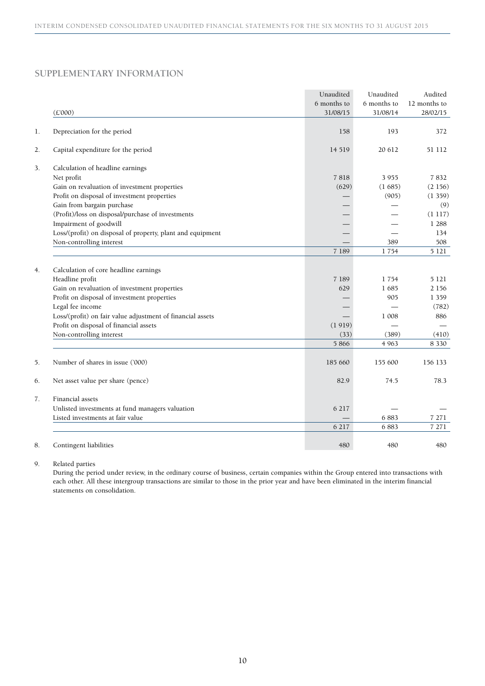# **SUPPLEMENTARY INFORMATION**

|    |                                                                 | Unaudited   | Unaudited   | Audited            |
|----|-----------------------------------------------------------------|-------------|-------------|--------------------|
|    |                                                                 | 6 months to | 6 months to | 12 months to       |
|    | (E'000)                                                         | 31/08/15    | 31/08/14    | 28/02/15           |
| 1. | Depreciation for the period                                     | 158         | 193         | 372                |
| 2. | Capital expenditure for the period                              | 14 5 19     | 20 612      | 51 112             |
| 3. | Calculation of headline earnings                                |             |             |                    |
|    | Net profit                                                      | 7818        | 3955        | 7832               |
|    | Gain on revaluation of investment properties                    | (629)       | (1685)      | (2156)             |
|    | Profit on disposal of investment properties                     |             | (905)       | (1359)             |
|    | Gain from bargain purchase                                      |             |             | (9)                |
|    | (Profit)/loss on disposal/purchase of investments               |             |             | (1117)             |
|    | Impairment of goodwill                                          |             |             | 1 2 8 8            |
|    | Loss/(profit) on disposal of property, plant and equipment      |             |             | 134                |
|    | Non-controlling interest                                        |             | 389         | 508                |
|    |                                                                 | 7 1 8 9     | 1754        | 5 1 2 1            |
| 4. |                                                                 |             |             |                    |
|    | Calculation of core headline earnings<br>Headline profit        | 7 189       | 1754        | 5 1 2 1            |
|    |                                                                 |             | 1685        |                    |
|    | Gain on revaluation of investment properties                    | 629         | 905         | 2 1 5 6<br>1 3 5 9 |
|    | Profit on disposal of investment properties<br>Legal fee income |             |             | (782)              |
|    | Loss/(profit) on fair value adjustment of financial assets      |             | 1 008       | 886                |
|    | Profit on disposal of financial assets                          | (1919)      |             |                    |
|    | Non-controlling interest                                        | (33)        | (389)       | (410)              |
|    |                                                                 | 5 8 6 6     | 4 9 6 3     | 8 3 3 0            |
|    |                                                                 |             |             |                    |
| 5. | Number of shares in issue ('000)                                | 185 660     | 155 600     | 156 133            |
| 6. | Net asset value per share (pence)                               | 82.9        | 74.5        | 78.3               |
| 7. | Financial assets                                                |             |             |                    |
|    | Unlisted investments at fund managers valuation                 | 6 217       |             |                    |
|    | Listed investments at fair value                                |             | 6883        | 7 271              |
|    |                                                                 | 6 217       | 6883        | 7 271              |
|    |                                                                 |             |             |                    |
| 8. | Contingent liabilities                                          | 480         | 480         | 480                |

9. Related parties

During the period under review, in the ordinary course of business, certain companies within the Group entered into transactions with each other. All these intergroup transactions are similar to those in the prior year and have been eliminated in the interim financial statements on consolidation.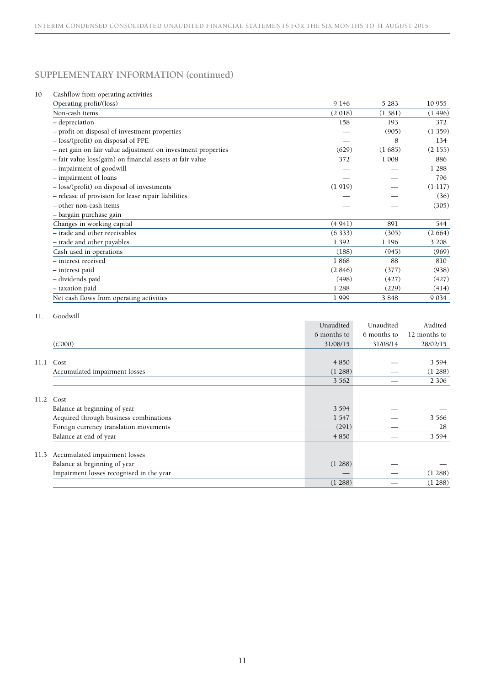### 10 Cashflow from operating activities

| Operating profit/(loss)                                      | 9 1 4 6 | 5 2 8 3 | 10 955  |
|--------------------------------------------------------------|---------|---------|---------|
| Non-cash items                                               | (2018)  | (1381)  | (1496)  |
| - depreciation                                               | 158     | 193     | 372     |
| - profit on disposal of investment properties                |         | (905)   | (1359)  |
| - loss/(profit) on disposal of PPE                           |         | 8       | 134     |
| - net gain on fair value adjustment on investment properties | (629)   | (1685)  | (2155)  |
| - fair value loss(gain) on financial assets at fair value    | 372     | 1 008   | 886     |
| - impairment of goodwill                                     |         |         | 1 2 8 8 |
| - impairment of loans                                        |         |         | 796     |
| - loss/(profit) on disposal of investments                   | (1919)  |         | (1117)  |
| - release of provision for lease repair liabilities          |         |         | (36)    |
| - other non-cash items                                       |         |         | (305)   |
| – bargain purchase gain                                      |         |         |         |
| Changes in working capital                                   | (4941)  | 891     | 544     |
| - trade and other receivables                                | (6333)  | (305)   | (2664)  |
| - trade and other payables                                   | 1 3 9 2 | 1 1 9 6 | 3 208   |
| Cash used in operations                                      | (188)   | (945)   | (969)   |
| - interest received                                          | 1868    | 88      | 810     |
| - interest paid                                              | (2846)  | (377)   | (938)   |
| - dividends paid                                             | (498)   | (427)   | (427)   |
| - taxation paid                                              | 1 2 8 8 | (229)   | (414)   |
| Net cash flows from operating activities                     | 1999    | 3848    | 9 0 3 4 |
|                                                              |         |         |         |

### 11. Goodwill

|      |                                          | Unaudited   | Unaudited   | Audited      |
|------|------------------------------------------|-------------|-------------|--------------|
|      |                                          | 6 months to | 6 months to | 12 months to |
|      | (E'000)                                  | 31/08/15    | 31/08/14    | 28/02/15     |
|      |                                          |             |             |              |
| 11.1 | Cost                                     | 4 8 5 0     |             | 3 5 9 4      |
|      | Accumulated impairment losses            | (1288)      |             | (1288)       |
|      |                                          | 3 5 6 2     |             | 2 3 0 6      |
|      |                                          |             |             |              |
| 11.2 | Cost                                     |             |             |              |
|      | Balance at beginning of year             | 3 5 9 4     |             |              |
|      | Acquired through business combinations   | 1 5 4 7     |             | 3 5 6 6      |
|      | Foreign currency translation movements   | (291)       |             | 28           |
|      | Balance at end of year                   | 4 8 5 0     |             | 3 5 9 4      |
|      |                                          |             |             |              |
| 11.3 | Accumulated impairment losses            |             |             |              |
|      | Balance at beginning of year             | (1288)      |             |              |
|      | Impairment losses recognised in the year |             |             | (1288)       |
|      |                                          | (1288)      |             | (1288)       |

**College**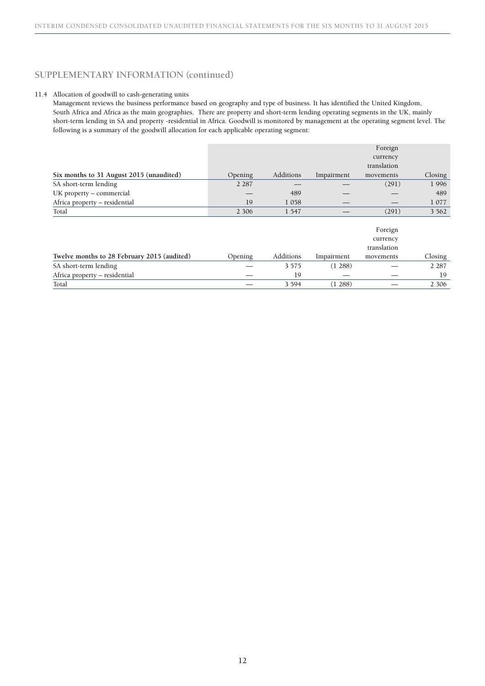### 11.4 Allocation of goodwill to cash-generating units

Management reviews the business performance based on geography and type of business. It has identified the United Kingdom, South Africa and Africa as the main geographies. There are property and short-term lending operating segments in the UK, mainly short-term lending in SA and property -residential in Africa. Goodwill is monitored by management at the operating segment level. The following is a summary of the goodwill allocation for each applicable operating segment:

|                                          |         |           |            | Foreign     |         |
|------------------------------------------|---------|-----------|------------|-------------|---------|
|                                          |         |           |            | currency    |         |
|                                          |         |           |            | translation |         |
| Six months to 31 August 2015 (unaudited) | Opening | Additions | Impairment | movements   | Closing |
| SA short-term lending                    | 2 2 8 7 |           |            | (291)       | 1996    |
| UK property – commercial                 |         | 489       |            |             | 489     |
| Africa property – residential            | 19      | 1058      |            |             | 1 0 7 7 |
| Total                                    | 2 3 0 6 | 1 547     |            | (291)       | 3 5 6 2 |

|                                             |         |           |            | Foreign                 |         |
|---------------------------------------------|---------|-----------|------------|-------------------------|---------|
|                                             |         |           |            | currency<br>translation |         |
| Twelve months to 28 February 2015 (audited) | Opening | Additions | Impairment | movements               | Closing |
| SA short-term lending                       |         | 3 5 7 5   | (1 288)    |                         | 2 2 8 7 |
| Africa property - residential               |         | 19        |            |                         | 19      |
| Total                                       |         | 3 5 9 4   | 1288       |                         | 2 3 0 6 |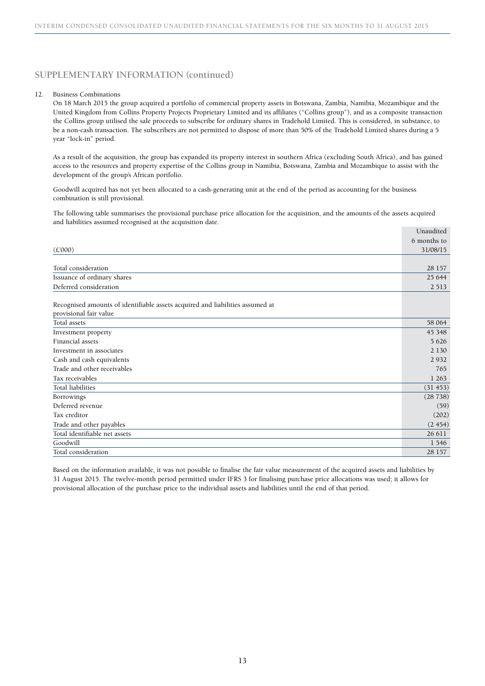#### 12. Business Combinations

On 18 March 2015 the group acquired a portfolio of commercial property assets in Botswana, Zambia, Namibia, Mozambique and the United Kingdom from Collins Property Projects Proprietary Limited and its affiliates ("Collins group"), and as a composite transaction the Collins group utilised the sale proceeds to subscribe for ordinary shares in Tradehold Limited. This is considered, in substance, to be a non-cash transaction. The subscribers are not permitted to dispose of more than 50% of the Tradehold Limited shares during a 5 year "lock-in" period.

As a result of the acquisition, the group has expanded its property interest in southern Africa (excluding South Africa), and has gained access to the resources and property expertise of the Collins group in Namibia, Botswana, Zambia and Mozambique to assist with the development of the group's African portfolio.

Goodwill acquired has not yet been allocated to a cash-generating unit at the end of the period as accounting for the business combination is still provisional.

The following table summarises the provisional purchase price allocation for the acquisition, and the amounts of the assets acquired and liabilities assumed recognised at the acquisition date. Unaudited

|                                                                               | Unaudittu   |
|-------------------------------------------------------------------------------|-------------|
|                                                                               | 6 months to |
| (E000)                                                                        | 31/08/15    |
|                                                                               |             |
| Total consideration                                                           | 28 157      |
| Issuance of ordinary shares                                                   | 25 644      |
| Deferred consideration                                                        | 2 5 1 3     |
|                                                                               |             |
| Recognised amounts of identifiable assets acquired and liabilities assumed at |             |
| provisional fair value                                                        |             |
| Total assets                                                                  | 58 064      |
| Investment property                                                           | 45 3 48     |
| Financial assets                                                              | 5 6 2 6     |
| Investment in associates                                                      | 2 1 3 0     |
| Cash and cash equivalents                                                     | 2 9 3 2     |
| Trade and other receivables                                                   | 765         |
| Tax receivables                                                               | 1 2 6 3     |
| Total liabilities                                                             | (31 453)    |
| Borrowings                                                                    | (28738)     |
| Deferred revenue                                                              | (59)        |
| Tax creditor                                                                  | (202)       |
| Trade and other payables                                                      | (2454)      |
| Total identifiable net assets                                                 | 26 611      |
| Goodwill                                                                      | 1 546       |
| Total consideration                                                           | 28 157      |
|                                                                               |             |

Based on the information available, it was not possible to finalise the fair value measurement of the acquired assets and liabilities by 31 August 2015. The twelve-month period permitted under IFRS 3 for finalising purchase price allocations was used; it allows for provisional allocation of the purchase price to the individual assets and liabilities until the end of that period.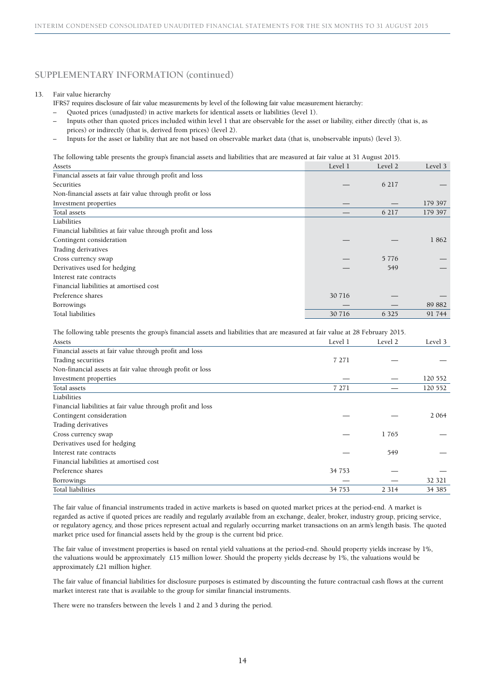#### 13. Fair value hierarchy

IFRS7 requires disclosure of fair value measurements by level of the following fair value measurement hierarchy:

- Quoted prices (unadjusted) in active markets for identical assets or liabilities (level 1).
- Inputs other than quoted prices included within level 1 that are observable for the asset or liability, either directly (that is, as prices) or indirectly (that is, derived from prices) (level 2).
- Inputs for the asset or liability that are not based on observable market data (that is, unobservable inputs) (level 3).

The following table presents the group's financial assets and liabilities that are measured at fair value at 31 August 2015.

| Assets                                                      | Level 1 | Level 2 | Level 3 |
|-------------------------------------------------------------|---------|---------|---------|
| Financial assets at fair value through profit and loss      |         |         |         |
| Securities                                                  |         | 6 2 1 7 |         |
| Non-financial assets at fair value through profit or loss   |         |         |         |
| Investment properties                                       |         |         | 179 397 |
| Total assets                                                |         | 6 217   | 179 397 |
| Liabilities                                                 |         |         |         |
| Financial liabilities at fair value through profit and loss |         |         |         |
| Contingent consideration                                    |         |         | 1862    |
| Trading derivatives                                         |         |         |         |
| Cross currency swap                                         |         | 5 7 7 6 |         |
| Derivatives used for hedging                                |         | 549     |         |
| Interest rate contracts                                     |         |         |         |
| Financial liabilities at amortised cost                     |         |         |         |
| Preference shares                                           | 30 716  |         |         |
| Borrowings                                                  |         |         | 89 882  |
| Total liabilities                                           | 30 716  | 6 3 2 5 | 91 744  |
|                                                             |         |         |         |

The following table presents the group's financial assets and liabilities that are measured at fair value at 28 February 2015.

| Assets                                                      | Level 1 | Level 2 | Level 3 |
|-------------------------------------------------------------|---------|---------|---------|
| Financial assets at fair value through profit and loss      |         |         |         |
| Trading securities                                          | 7 2 7 1 |         |         |
| Non-financial assets at fair value through profit or loss   |         |         |         |
| Investment properties                                       |         |         | 120 552 |
| Total assets                                                | 7 2 7 1 |         | 120 552 |
| Liabilities                                                 |         |         |         |
| Financial liabilities at fair value through profit and loss |         |         |         |
| Contingent consideration                                    |         |         | 2 0 6 4 |
| Trading derivatives                                         |         |         |         |
| Cross currency swap                                         |         | 1765    |         |
| Derivatives used for hedging                                |         |         |         |
| Interest rate contracts                                     |         | 549     |         |
| Financial liabilities at amortised cost                     |         |         |         |
| Preference shares                                           | 34 7 53 |         |         |
| Borrowings                                                  |         |         | 32 321  |
| Total liabilities                                           | 34 753  | 2 3 1 4 | 34 385  |

The fair value of financial instruments traded in active markets is based on quoted market prices at the period-end. A market is regarded as active if quoted prices are readily and regularly available from an exchange, dealer, broker, industry group, pricing service, or regulatory agency, and those prices represent actual and regularly occurring market transactions on an arm's length basis. The quoted market price used for financial assets held by the group is the current bid price.

The fair value of investment properties is based on rental yield valuations at the period-end. Should property yields increase by 1%, the valuations would be approximately £15 million lower. Should the property yields decrease by 1%, the valuations would be approximately £21 million higher.

The fair value of financial liabilities for disclosure purposes is estimated by discounting the future contractual cash flows at the current market interest rate that is available to the group for similar financial instruments.

There were no transfers between the levels 1 and 2 and 3 during the period.